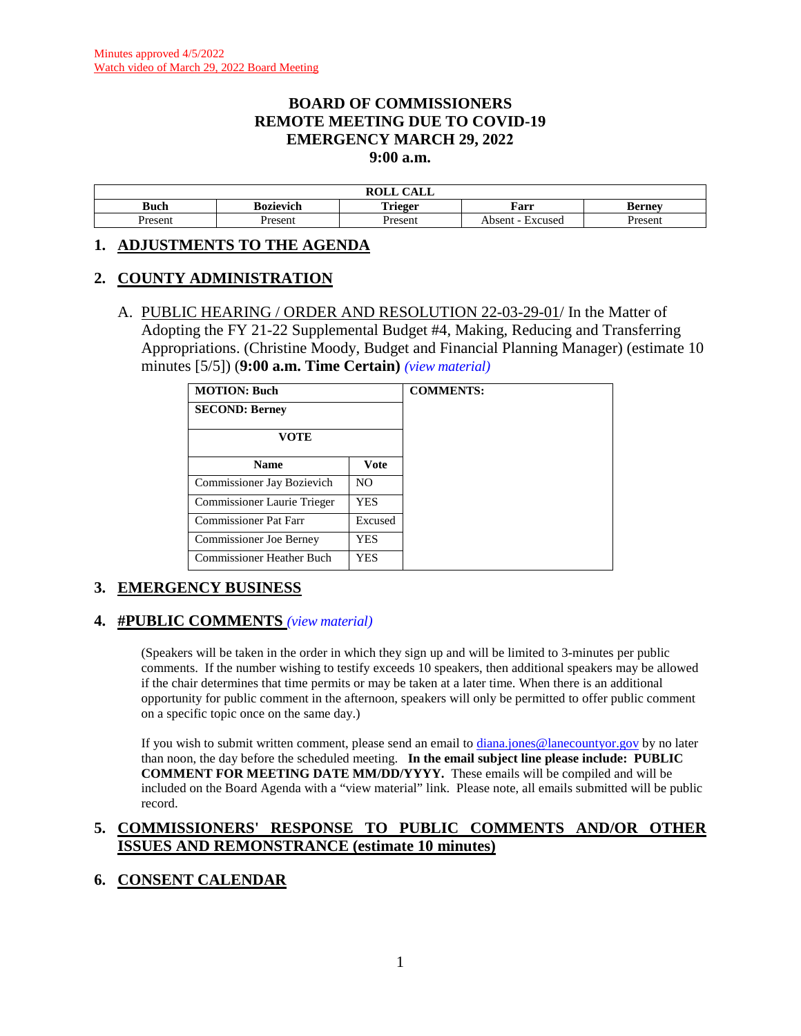#### **BOARD OF COMMISSIONERS REMOTE MEETING DUE TO COVID-19 EMERGENCY MARCH 29, 2022 9:00 a.m.**

|         |           | $\bigcap$ $\bigcap$ $\bigcap$<br>DAT T<br>םטי<br>САЫТ |                   |        |
|---------|-----------|-------------------------------------------------------|-------------------|--------|
| Buch    | sozievich | Trieger                                               | Farr              | Berney |
| 'resent | resent    | resent                                                | Excused<br>Absent | resent |

#### **1. ADJUSTMENTS TO THE AGENDA**

### **2. COUNTY ADMINISTRATION**

A. PUBLIC HEARING / ORDER AND RESOLUTION 22-03-29-01/ In the Matter of Adopting the FY 21-22 Supplemental Budget #4, Making, Reducing and Transferring Appropriations. (Christine Moody, Budget and Financial Planning Manager) (estimate 10 minutes [5/5]) (**9:00 a.m. Time Certain)** *(view [material\)](http://www.lanecountyor.gov/UserFiles/Servers/Server_3585797/File/Government/BCC/2022/2022_AGENDAS/032922agenda/T.2.A.pdf)*

| <b>MOTION: Buch</b>              |         |
|----------------------------------|---------|
| <b>SECOND: Berney</b>            |         |
| <b>VOTE</b>                      |         |
| <b>Name</b>                      | Vote    |
| Commissioner Jay Bozievich       | NO.     |
| Commissioner Laurie Trieger      | YES     |
| Commissioner Pat Farr            | Excused |
| <b>Commissioner Joe Berney</b>   | YES     |
| <b>Commissioner Heather Buch</b> | YES     |

# **3. EMERGENCY BUSINESS**

#### **4. #PUBLIC COMMENTS** *(view [material\)](http://www.lanecountyor.gov/UserFiles/Servers/Server_3585797/File/Government/BCC/2022/2022_AGENDAS/032922agenda/T.4.pdf)*

(Speakers will be taken in the order in which they sign up and will be limited to 3-minutes per public comments. If the number wishing to testify exceeds 10 speakers, then additional speakers may be allowed if the chair determines that time permits or may be taken at a later time. When there is an additional opportunity for public comment in the afternoon, speakers will only be permitted to offer public comment on a specific topic once on the same day.)

If you wish to submit written comment, please send an email to [diana.jones@lanecountyor.gov](mailto:diana.jones@lanecountyor.gov) by no later than noon, the day before the scheduled meeting. **In the email subject line please include: PUBLIC COMMENT FOR MEETING DATE MM/DD/YYYY.** These emails will be compiled and will be included on the Board Agenda with a "view material" link. Please note, all emails submitted will be public record.

### **5. COMMISSIONERS' RESPONSE TO PUBLIC COMMENTS AND/OR OTHER ISSUES AND REMONSTRANCE (estimate 10 minutes)**

# **6. CONSENT CALENDAR**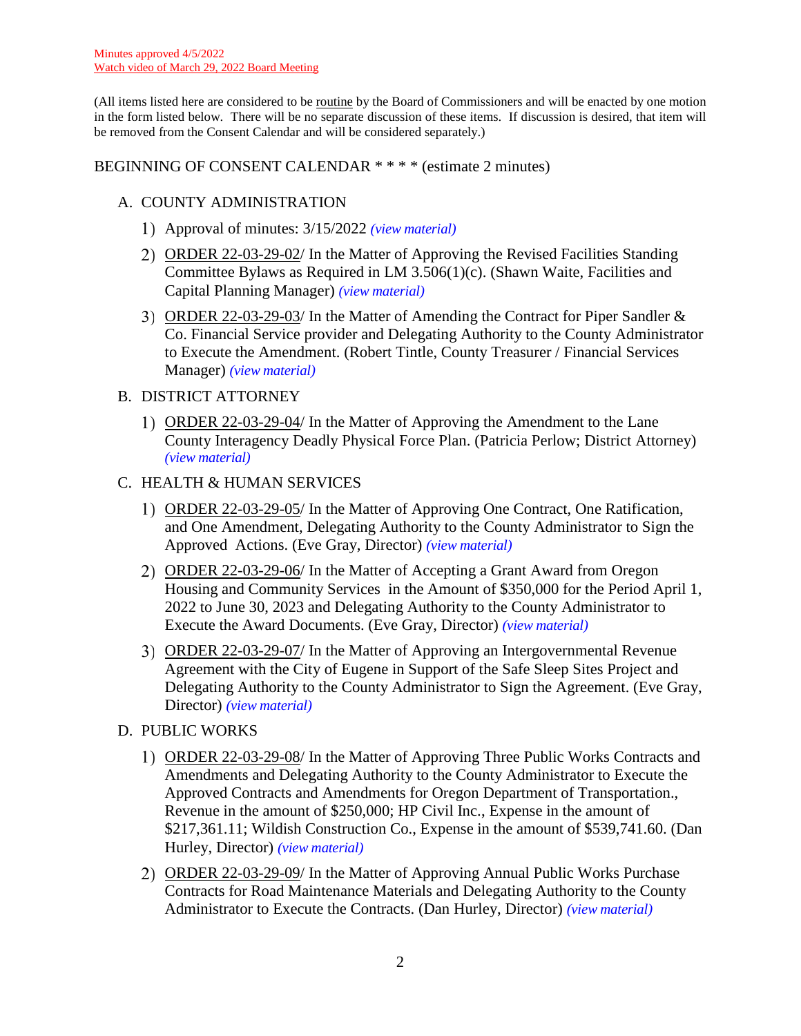(All items listed here are considered to be routine by the Board of Commissioners and will be enacted by one motion in the form listed below. There will be no separate discussion of these items. If discussion is desired, that item will be removed from the Consent Calendar and will be considered separately.)

### BEGINNING OF CONSENT CALENDAR \* \* \* \* (estimate 2 minutes)

# A. COUNTY ADMINISTRATION

- Approval of minutes: 3/15/2022 *(view [material\)](http://www.lanecountyor.gov/UserFiles/Servers/Server_3585797/File/Government/BCC/2022/2022_AGENDAS/032922agenda/T.6.A.1.pdf)*
- ORDER 22-03-29-02/ In the Matter of Approving the Revised Facilities Standing Committee Bylaws as Required in LM 3.506(1)(c). (Shawn Waite, Facilities and Capital Planning Manager) *(view [material\)](http://www.lanecountyor.gov/UserFiles/Servers/Server_3585797/File/Government/BCC/2022/2022_AGENDAS/032922agenda/T.6.A.2.pdf)*
- ORDER 22-03-29-03/ In the Matter of Amending the Contract for Piper Sandler & Co. Financial Service provider and Delegating Authority to the County Administrator to Execute the Amendment. (Robert Tintle, County Treasurer / Financial Services Manager) *(view [material\)](http://www.lanecountyor.gov/UserFiles/Servers/Server_3585797/File/Government/BCC/2022/2022_AGENDAS/032922agenda/T.6.A.3.pdf)*

### B. DISTRICT ATTORNEY

ORDER 22-03-29-04/ In the Matter of Approving the Amendment to the Lane County Interagency Deadly Physical Force Plan. (Patricia Perlow; District Attorney) *(view [material\)](http://www.lanecountyor.gov/UserFiles/Servers/Server_3585797/File/Government/BCC/2022/2022_AGENDAS/032922agenda/T.6.B.1.pdf)*

### C. HEALTH & HUMAN SERVICES

- 1) ORDER 22-03-29-05/ In the Matter of Approving One Contract, One Ratification, and One Amendment, Delegating Authority to the County Administrator to Sign the Approved Actions. (Eve Gray, Director) *(view [material\)](http://www.lanecountyor.gov/UserFiles/Servers/Server_3585797/File/Government/BCC/2022/2022_AGENDAS/032922agenda/T.6.C.1.pdf)*
- ORDER 22-03-29-06/ In the Matter of Accepting a Grant Award from Oregon Housing and Community Services in the Amount of \$350,000 for the Period April 1, 2022 to June 30, 2023 and Delegating Authority to the County Administrator to Execute the Award Documents. (Eve Gray, Director) *(view [material\)](http://www.lanecountyor.gov/UserFiles/Servers/Server_3585797/File/Government/BCC/2022/2022_AGENDAS/032922agenda/T.6.C.2.pdf)*
- 3) ORDER 22-03-29-07/ In the Matter of Approving an Intergovernmental Revenue Agreement with the City of Eugene in Support of the Safe Sleep Sites Project and Delegating Authority to the County Administrator to Sign the Agreement. (Eve Gray, Director) *(view [material\)](http://www.lanecountyor.gov/UserFiles/Servers/Server_3585797/File/Government/BCC/2022/2022_AGENDAS/032922agenda/T.6.C.3.pdf)*
- D. PUBLIC WORKS
	- ORDER 22-03-29-08/ In the Matter of Approving Three Public Works Contracts and Amendments and Delegating Authority to the County Administrator to Execute the Approved Contracts and Amendments for Oregon Department of Transportation., Revenue in the amount of \$250,000; HP Civil Inc., Expense in the amount of \$217,361.11; Wildish Construction Co., Expense in the amount of \$539,741.60. (Dan Hurley, Director) *(view [material\)](http://www.lanecountyor.gov/UserFiles/Servers/Server_3585797/File/Government/BCC/2022/2022_AGENDAS/032922agenda/T.6.D.1.pdf)*
	- ORDER 22-03-29-09/ In the Matter of Approving Annual Public Works Purchase Contracts for Road Maintenance Materials and Delegating Authority to the County Administrator to Execute the Contracts. (Dan Hurley, Director) *(view [material\)](http://www.lanecountyor.gov/UserFiles/Servers/Server_3585797/File/Government/BCC/2022/2022_AGENDAS/032922agenda/T.6.D.2.pdf)*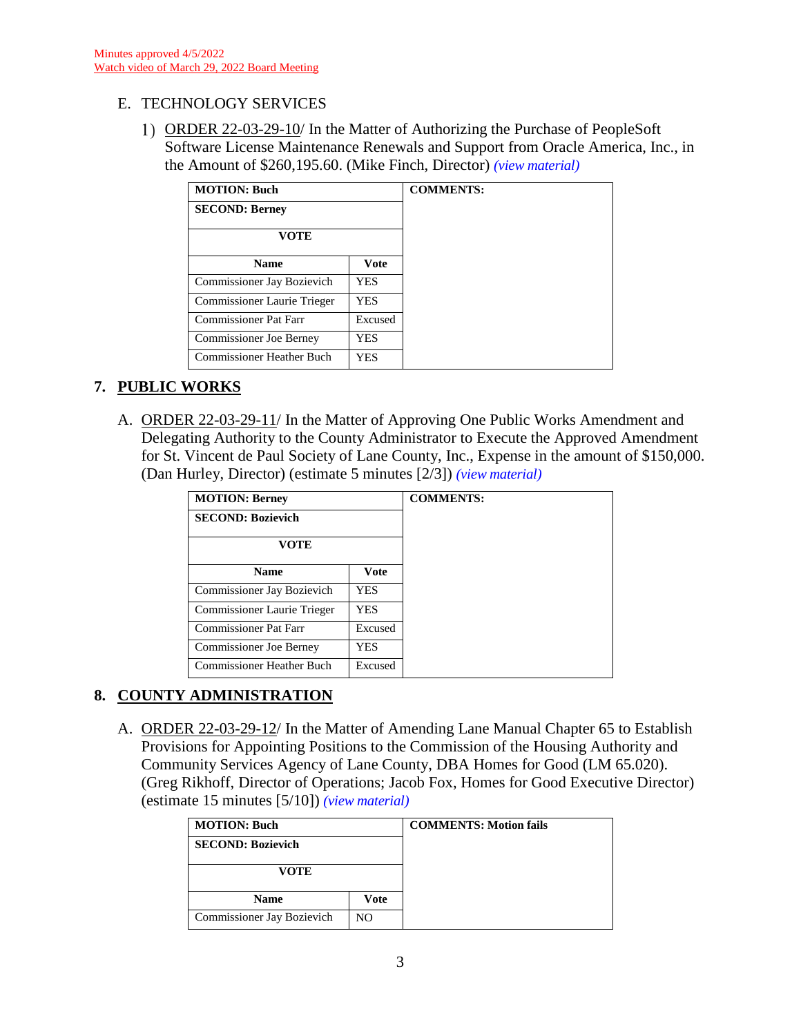# E. TECHNOLOGY SERVICES

ORDER 22-03-29-10/ In the Matter of Authorizing the Purchase of PeopleSoft Software License Maintenance Renewals and Support from Oracle America, Inc., in the Amount of \$260,195.60. (Mike Finch, Director) *(view [material\)](http://www.lanecountyor.gov/UserFiles/Servers/Server_3585797/File/Government/BCC/2022/2022_AGENDAS/032922agenda/T.6.E.1.pdf)*

| <b>MOTION: Buch</b>              |             | <b>COMMENTS:</b> |
|----------------------------------|-------------|------------------|
| <b>SECOND: Berney</b>            |             |                  |
| <b>VOTE</b>                      |             |                  |
| <b>Name</b>                      | <b>Vote</b> |                  |
| Commissioner Jay Bozievich       | <b>YES</b>  |                  |
| Commissioner Laurie Trieger      | <b>YES</b>  |                  |
| <b>Commissioner Pat Farr</b>     | Excused     |                  |
| <b>Commissioner Joe Berney</b>   | <b>YES</b>  |                  |
| <b>Commissioner Heather Buch</b> | <b>YES</b>  |                  |

# **7. PUBLIC WORKS**

A. ORDER 22-03-29-11/ In the Matter of Approving One Public Works Amendment and Delegating Authority to the County Administrator to Execute the Approved Amendment for St. Vincent de Paul Society of Lane County, Inc., Expense in the amount of \$150,000. (Dan Hurley, Director) (estimate 5 minutes [2/3]) *(view [material\)](http://www.lanecountyor.gov/UserFiles/Servers/Server_3585797/File/Government/BCC/2022/2022_AGENDAS/032922agenda/T.7.A.pdf)*

| <b>MOTION: Berney</b>          |            | <b>COMMENTS:</b> |
|--------------------------------|------------|------------------|
| <b>SECOND: Bozievich</b>       |            |                  |
| VOTE                           |            |                  |
| <b>Name</b>                    | Vote       |                  |
| Commissioner Jay Bozievich     | YES        |                  |
| Commissioner Laurie Trieger    | <b>YES</b> |                  |
| <b>Commissioner Pat Farr</b>   | Excused    |                  |
| <b>Commissioner Joe Berney</b> | YES        |                  |
| Commissioner Heather Buch      | Excused    |                  |

# **8. COUNTY ADMINISTRATION**

A. ORDER 22-03-29-12/ In the Matter of Amending Lane Manual Chapter 65 to Establish Provisions for Appointing Positions to the Commission of the Housing Authority and Community Services Agency of Lane County, DBA Homes for Good (LM 65.020). (Greg Rikhoff, Director of Operations; Jacob Fox, Homes for Good Executive Director) (estimate 15 minutes [5/10]) *(view [material\)](http://www.lanecountyor.gov/UserFiles/Servers/Server_3585797/File/Government/BCC/2022/2022_AGENDAS/032922agenda/T.8.A.pdf)*

| <b>MOTION: Buch</b>        |      | <b>COMMENTS: Motion fails</b> |
|----------------------------|------|-------------------------------|
| <b>SECOND: Bozievich</b>   |      |                               |
| VOTE                       |      |                               |
| <b>Name</b>                | Vote |                               |
| Commissioner Jay Bozievich | NO.  |                               |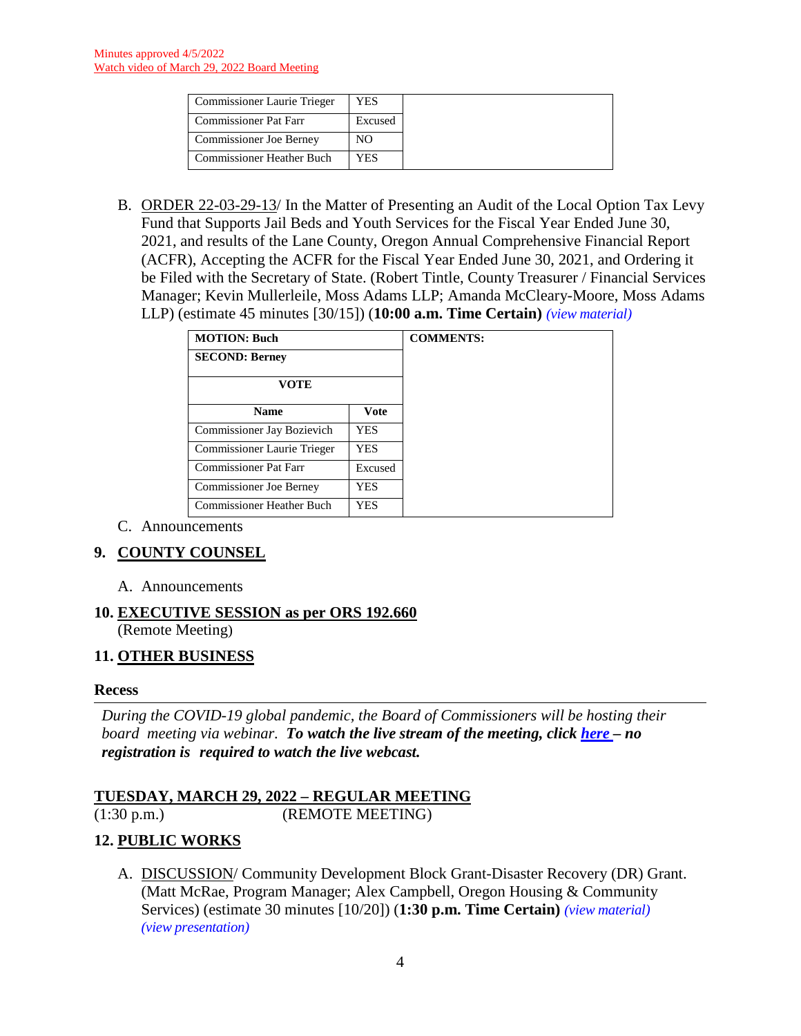| <b>Commissioner Laurie Trieger</b> | YES     |
|------------------------------------|---------|
| <b>Commissioner Pat Farr</b>       | Excused |
| <b>Commissioner Joe Berney</b>     | NO      |
| <b>Commissioner Heather Buch</b>   | YES     |

B. ORDER 22-03-29-13/ In the Matter of Presenting an Audit of the Local Option Tax Levy Fund that Supports Jail Beds and Youth Services for the Fiscal Year Ended June 30, 2021, and results of the Lane County, Oregon Annual Comprehensive Financial Report (ACFR), Accepting the ACFR for the Fiscal Year Ended June 30, 2021, and Ordering it be Filed with the Secretary of State. (Robert Tintle, County Treasurer / Financial Services Manager; Kevin Mullerleile, Moss Adams LLP; Amanda McCleary-Moore, Moss Adams LLP) (estimate 45 minutes [30/15]) (**10:00 a.m. Time Certain)** *(view [material\)](http://www.lanecountyor.gov/UserFiles/Servers/Server_3585797/File/Government/BCC/2022/2022_AGENDAS/032922agenda/T.8.B.pdf)*

| <b>MOTION: Buch</b>            |            | <b>COMMENTS:</b> |
|--------------------------------|------------|------------------|
| <b>SECOND: Berney</b>          |            |                  |
| VOTE                           |            |                  |
|                                |            |                  |
| <b>Name</b>                    | Vote       |                  |
| Commissioner Jay Bozievich     | <b>YES</b> |                  |
| Commissioner Laurie Trieger    | <b>YES</b> |                  |
| Commissioner Pat Farr          | Excused    |                  |
| <b>Commissioner Joe Berney</b> | <b>YES</b> |                  |
| Commissioner Heather Buch      | <b>YES</b> |                  |

C. Announcements

# **9. COUNTY COUNSEL**

A. Announcements

#### **10. EXECUTIVE SESSION as per ORS 192.660** (Remote Meeting)

# **11. OTHER BUSINESS**

#### **Recess**

*During the COVID-19 global pandemic, the Board of Commissioners will be hosting their board meeting via webinar. To watch the live stream of the meeting, click [here](https://lanecounty.org/cms/One.aspx?portalId=3585881&pageId=7842434) – no registration is required to watch the live webcast.* 

# **TUESDAY, MARCH 29, 2022 – REGULAR MEETING**

(1:30 p.m.) (REMOTE MEETING)

# **12. PUBLIC WORKS**

A. DISCUSSION/ Community Development Block Grant-Disaster Recovery (DR) Grant. (Matt McRae, Program Manager; Alex Campbell, Oregon Housing & Community Services) (estimate 30 minutes [10/20]) (**1:30 p.m. Time Certain)** *(view [material\)](http://www.lanecountyor.gov/UserFiles/Servers/Server_3585797/File/Government/BCC/2022/2022_AGENDAS/032922agenda/T.12.A.pdf)  (view [presentation\)](http://www.lanecountyor.gov/UserFiles/Servers/Server_3585797/File/Government/BCC/2022/2022_AGENDAS/032922agenda/T.12.AP.pdf)*